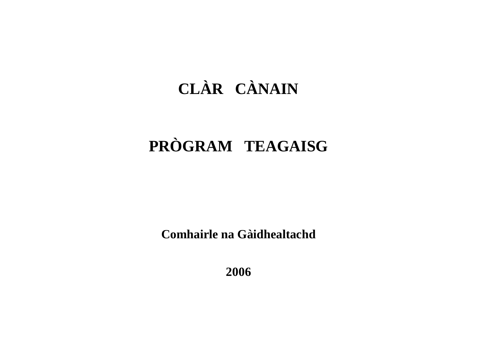# **CLÀR CÀNAIN**

# **PRÒGRAM TEAGAISG**

**Comhairle na Gàidhealtachd**

**2006**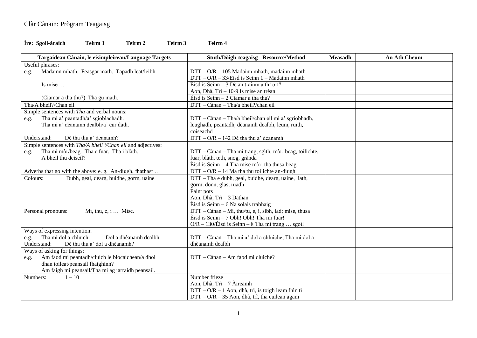## **Ìre: Sgoil-àraich Teirm 1 Teirm 2 Teirm 3 Teirm 4**

| Targaidean Cànain, le eisimpleirean/Language Targets        | Stuth/Dòigh-teagaisg - Resource/Method                    | <b>Measadh</b> | <b>An Ath Cheum</b> |
|-------------------------------------------------------------|-----------------------------------------------------------|----------------|---------------------|
| Useful phrases:                                             |                                                           |                |                     |
| Madainn mhath. Feasgar math. Tapadh leat/leibh.<br>e.g.     | $DTT - O/R - 105$ Madainn mhath, madainn mhath            |                |                     |
|                                                             | $DTT - O/R - 33/Eisd$ is Seinn 1 - Madainn mhath          |                |                     |
| Is mise                                                     | Eisd is Seinn $-3$ Dè an t-ainm a th' ort?                |                |                     |
|                                                             | Aon, Dhà, Trì - 10-9 Is mise an trèan                     |                |                     |
| (Ciamar a tha thu?) Tha gu math.                            | Èisd is Seinn $-2$ Ciamar a tha thu?                      |                |                     |
| Tha/A bheil?/Chan eil                                       | DTT - Cànan - Tha/a bheil?/chan eil                       |                |                     |
| Simple sentences with Tha and verbal nouns:                 |                                                           |                |                     |
| Tha mi a' peantadh/a' sgioblachadh.<br>e.g.                 | DTT - Cànan - Tha/a bheil/chan eil mi a' sgrìobhadh,      |                |                     |
| Tha mi a' dèanamh dealbh/a' cur dath.                       | leughadh, peantadh, dèanamh dealbh, leum, ruith,          |                |                     |
|                                                             | coiseachd                                                 |                |                     |
| Dè tha thu a' dèanamh?<br>Understand:                       | DTT - O/R - 142 Dè tha thu a' dèanamh                     |                |                     |
| Simple sentences with Tha/A bheil?/Chan eil and adjectives: |                                                           |                |                     |
| Tha mi mòr/beag. Tha e fuar. Tha i blàth.<br>e.g.           | DTT - Cànan - Tha mi trang, sgìth, mòr, beag, toilichte,  |                |                     |
| A bheil thu deiseil?                                        | fuar, blàth, teth, snog, grànda                           |                |                     |
|                                                             | $\hat{E}$ isd is Seinn – 4 Tha mise mòr, tha thusa beag   |                |                     |
| Adverbs that go with the above: e. g. An-diugh, fhathast    | $DTT - O/R - 14$ Ma tha thu toilichte an-diugh            |                |                     |
| Dubh, geal, dearg, buidhe, gorm, uaine<br>Colours:          | DTT – Tha e dubh, geal, buidhe, dearg, uaine, liath,      |                |                     |
|                                                             | gorm, donn, glas, ruadh                                   |                |                     |
|                                                             | Paint pots                                                |                |                     |
|                                                             | Aon, Dhà, Trì - 3 Dathan                                  |                |                     |
|                                                             | $\hat{E}$ isd is Seinn – 6 Na solais trabhaig             |                |                     |
| Mi, thu, $e$ , $i$ Mise.<br>Personal pronouns:              | DTT – Cànan – Mi, thu/tu, e, i, sibh, iad; mise, thusa    |                |                     |
|                                                             | Eisd is Seinn – 7 Obh! Obh! Tha mi fuar!                  |                |                     |
|                                                             | $O/R - 130/\text{E}$ isd is Seinn – 8 Tha mi trang  sgoil |                |                     |
| Ways of expressing intention:                               |                                                           |                |                     |
| Tha mi dol a chluich.<br>Dol a dhèanamh dealbh.<br>e.g.     | DTT - Cànan - Tha mi a' dol a chluiche, Tha mi dol a      |                |                     |
| Dè tha thu a' dol a dhèanamh?<br>Understand:                | dhèanamh dealbh                                           |                |                     |
| Ways of asking for things:                                  |                                                           |                |                     |
| Am faod mi peantadh/cluich le blocaichean/a dhol<br>e.g.    | DTT - Cànan - Am faod mi cluiche?                         |                |                     |
| dhan toileat/peansail fhaighinn?                            |                                                           |                |                     |
| Am faigh mi peansail/Tha mi ag iarraidh peansail.           |                                                           |                |                     |
| Numbers:<br>$1 - 10$                                        | Number frieze                                             |                |                     |
|                                                             | Aon, Dhà, Trì - 7 Àireamh                                 |                |                     |
|                                                             | $DTT - O/R - 1$ Aon, dhà, trì, is toigh leam fhìn tì      |                |                     |
|                                                             | DTT - O/R - 35 Aon, dhà, trì, tha cuilean agam            |                |                     |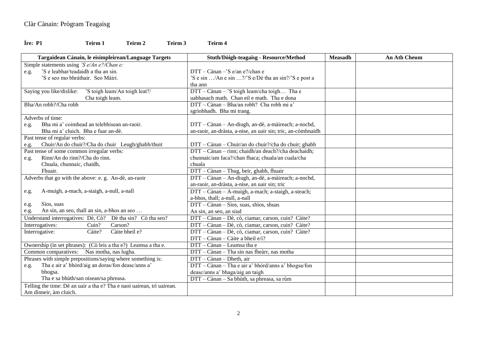### **Ìre: P1 Teirm 1 Teirm 2 Teirm 3 Teirm 4**

| Targaidean Cànain, le eisimpleirean/Language Targets                   | Stuth/Dòigh-teagaisg - Resource/Method                       | <b>Measadh</b> | <b>An Ath Cheum</b> |
|------------------------------------------------------------------------|--------------------------------------------------------------|----------------|---------------------|
| Simple statements using 'S $e/An$ e?/Chan e:                           |                                                              |                |                     |
| 'S e leabhar/teadaidh a tha an sin.<br>e.g.                            | DTT - Cànan -'S e/an e?/chan e                               |                |                     |
| 'S e seo mo bhràthair. Seo Màiri.                                      | 'S e sin /An e sin ?/'S e/Dè tha an sin?/'S e post a         |                |                     |
|                                                                        | tha ann                                                      |                |                     |
| Saying you like/dislike:<br>'S toigh leam/An toigh leat?/              | DTT - Cànan - 'S toigh leam/cha toigh Tha e                  |                |                     |
| Cha toigh leam.                                                        | uabhasach math. Chan eil e math. Tha e dona                  |                |                     |
| Bha/An robh?/Cha robh                                                  | DTT - Cànan - Bha/an robh? Cha robh mi a'                    |                |                     |
|                                                                        | sgrìobhadh. Bha mi trang.                                    |                |                     |
| Adverbs of time:                                                       |                                                              |                |                     |
| Bha mi a' coimhead an telebhisean an-raoir.<br>e.g.                    | DTT - Cànan - An-diugh, an-dè, a-màireach; a-nochd,          |                |                     |
| Bha mi a' cluich. Bha e fuar an-dè.                                    | an-raoir, an-dràsta, a-nise, an uair sin; tric, an-còmhnaidh |                |                     |
| Past tense of regular verbs:                                           |                                                              |                |                     |
| Chuir/An do chuir?/Cha do chuir Leugh/ghabh/thuit<br>e.g.              | DTT - Cànan - Chuir/an do chuir?/cha do chuir; ghabh         |                |                     |
| Past tense of some common irregular verbs:                             | DTT - Cànan - rinn; chaidh/an deach?/cha deachaidh;          |                |                     |
| Rinn/An do rinn?/Cha do rinn.<br>e.g.                                  | chunnaic/am faca?/chan fhaca; chuala/an cuala/cha            |                |                     |
| Chuala, chunnaic, chaidh,                                              | chuala                                                       |                |                     |
| Fhuair.                                                                | DTT - Cànan - Thug, beir, ghabh, fhuair                      |                |                     |
| Adverbs that go with the above: e. g. An-dè, an-raoir                  | DTT - Cànan - An-diugh, an-dè, a-màireach; a-nochd,          |                |                     |
|                                                                        | an-raoir, an-dràsta, a-nise, an uair sin; tric               |                |                     |
| A-muigh, a-mach, a-staigh, a-null, a-nall<br>e.g.                      | DTT - Cànan - A-muigh, a-mach; a-staigh, a-steach;           |                |                     |
|                                                                        | a-bhos, thall; a-null, a-nall                                |                |                     |
| Sios, suas<br>e.g.                                                     | DTT - Cànan - Sìos, suas, shìos, shuas                       |                |                     |
| An sin, an seo, thall an sin, a-bhos an seo<br>e.g.                    | An sin, an seo, an siud                                      |                |                     |
| Understand interrogatives: Dè, Cò? Dè tha sin? Cò tha seo?             | DTT - Cànan - Dè, cò, ciamar, carson, cuin? Càite?           |                |                     |
| Carson?<br>Interrogatives:<br>Cuin?                                    | DTT - Cànan - Dè, cò, ciamar, carson, cuin? Càite?           |                |                     |
| Càite bheil e?<br>Interrogative:<br>Càite?                             | DTT - Cànan - Dè, cò, ciamar, carson, cuin? Càite?           |                |                     |
|                                                                        | DTT - Cànan - Càite a bheil e/i?                             |                |                     |
| Ownership (in set phrases): (Co leis a tha e?) Leamsa a tha e.         | DTT - Cànan - Leamsa tha e                                   |                |                     |
| Common comparatives: Nas motha, nas lugha.                             | DTT - Cànan - Tha sin nas fheàrr, nas motha                  |                |                     |
| Phrases with simple prepositions/saying where something is:            | DTT - Cànan - Dheth, air                                     |                |                     |
| Tha e air a' bhòrd/aig an doras/fon deasc/anns a'<br>e.g.              | DTT - Cànan - Tha e air a' bhòrd/anns a' bhogsa/fon          |                |                     |
| bhogsa.                                                                | deasc/anns a' bhaga/aig an taigh                             |                |                     |
| Tha e sa bhùth/san oisean/sa phreasa.                                  | DTT - Cànan - Sa bhùth, sa phreasa, sa rùm                   |                |                     |
| Telling the time: Dè an uair a tha e? Tha e naoi uairean, trì uairean. |                                                              |                |                     |
| Am dinneir, àm cluich.                                                 |                                                              |                |                     |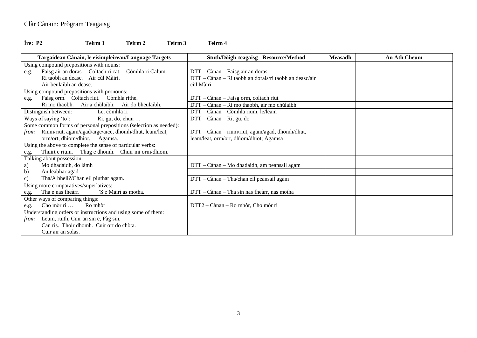## **Ìre: P2 Teirm 1 Teirm 2 Teirm 3 Teirm 4**

| Targaidean Cànain, le eisimpleirean/Language Targets              | Stuth/Dòigh-teagaisg - Resource/Method                 | <b>Measadh</b> | <b>An Ath Cheum</b> |
|-------------------------------------------------------------------|--------------------------------------------------------|----------------|---------------------|
| Using compound prepositions with nouns:                           |                                                        |                |                     |
| Faisg air an doras. Coltach ri cat.<br>Còmhla ri Calum.<br>e.g.   | DTT – Cànan – Faisg air an doras                       |                |                     |
| Ri taobh an deasc. Air cùl Màiri.                                 | DTT – Cànan – Ri taobh an dorais/ri taobh an deasc/air |                |                     |
| Air beulaibh an deasc.                                            | cùl Màiri                                              |                |                     |
| Using compound prepositions with pronouns:                        |                                                        |                |                     |
| Faisg orm. Coltach riut. Còmhla rithe.<br>e.g.                    | DTT - Cànan - Faisg orm, coltach riut                  |                |                     |
| Ri mo thaobh. Air a chùlaibh. Air do bheulaibh.                   | DTT - Cànan - Ri mo thaobh, air mo chùlaibh            |                |                     |
| Distinguish between:<br>Le, còmhla ri                             | DTT - Cànan - Còmhla rium, le/leam                     |                |                     |
| Ri, gu, do, chun<br>Ways of saying 'to':                          | DTT – Cànan – Ri, gu, do                               |                |                     |
| Some common forms of personal prepositions (selection as needed): |                                                        |                |                     |
| Rium/riut, agam/agad/aige/aice, dhomh/dhut, leam/leat,<br>from    | DTT - Cànan - rium/riut, agam/agad, dhomh/dhut,        |                |                     |
| orm/ort, dhiom/dhiot. Agamsa.                                     | leam/leat, orm/ort, dhìom/dhiot; Agamsa                |                |                     |
| Using the above to complete the sense of particular verbs:        |                                                        |                |                     |
| Thuirt e rium. Thug e dhomh. Chuir mi orm/dhiom.<br>e.g.          |                                                        |                |                     |
| Talking about possession:                                         |                                                        |                |                     |
| Mo dhadaidh, do làmh<br>a)                                        | DTT – Cànan – Mo dhadaidh, am peansail agam            |                |                     |
| b)<br>An leabhar agad                                             |                                                        |                |                     |
| Tha/A bheil?/Chan eil piuthar agam.<br>c)                         | DTT - Cànan - Tha/chan eil peansail agam               |                |                     |
| Using more comparatives/superlatives:                             |                                                        |                |                     |
| Tha e nas fhearr.<br>'S e Màiri as motha.<br>e.g.                 | DTT – Cànan – Tha sin nas fheàrr, nas motha            |                |                     |
| Other ways of comparing things:                                   |                                                        |                |                     |
| Cho mòr ri<br>Ro mhòr<br>e.g.                                     | DTT2 - Cànan - Ro mhòr, Cho mòr ri                     |                |                     |
| Understanding orders or instructions and using some of them:      |                                                        |                |                     |
| Leum, ruith, Cuir an sin e, Fàg sin.<br>from                      |                                                        |                |                     |
| Can ris. Thoir dhomh. Cuir ort do chòta.                          |                                                        |                |                     |
| Cuir air an solas.                                                |                                                        |                |                     |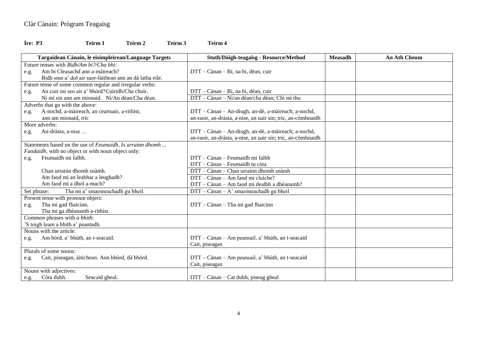### **Ìre: P3 Teirm 1 Teirm 2 Teirm 3 Teirm 4**

|             | Targaidean Cànain, le eisimpleirean/Language Targets      | Stuth/Dòigh-teagaisg - Resource/Method                       | <b>Measadh</b> | <b>An Ath Cheum</b> |
|-------------|-----------------------------------------------------------|--------------------------------------------------------------|----------------|---------------------|
|             | Future tenses with <i>Bidh/Am bi?/Cha bhi:</i>            |                                                              |                |                     |
| e.g.        | Am bi Cleasachd ann a-màireach?                           | DTT - Cànan - Bi, na bi, dèan, cuir                          |                |                     |
|             | Bidh sinn a' dol air saor-làithean ann an dà latha eile.  |                                                              |                |                     |
|             | Future tense of some common regular and irregular verbs:  |                                                              |                |                     |
| e.g.        | An cuir mi seo air a' bhòrd? Cuiridh/Cha chuir.           | DTT - Cànan - Bi, na bi, dèan, cuir                          |                |                     |
|             | Nì mi sin ann am mionaid. Nì/An dèan/Cha dèan.            | DTT - Cànan - Nì/an dèan/cha dèan; Chì mi thu                |                |                     |
|             | Adverbs that go with the above:                           |                                                              |                |                     |
| e.g.        | A-nochd, a-màireach, an ceartuair, a-rithist,             | DTT - Cànan - An-diugh, an-dè, a-màireach; a-nochd,          |                |                     |
|             | ann am mionaid, tric                                      | an-raoir, an-dràsta, a-nise, an uair sin; tric, an-còmhnaidh |                |                     |
|             | More adverbs:                                             |                                                              |                |                     |
| e.g.        | An-dràsta, a-nise                                         | DTT - Cànan - An-diugh, an-dè, a-màireach; a-nochd,          |                |                     |
|             |                                                           | an-raoir, an-dràsta, a-nise, an uair sin; tric, an-còmhnaidh |                |                     |
|             | Statements based on the use of Feumaidh, Is urrainn dhomh |                                                              |                |                     |
|             | Faodaidh, with no object or with noun object only:        |                                                              |                |                     |
| e.g.        | Feumaidh mi falbh.                                        | DTT - Cànan - Feumaidh mi falbh                              |                |                     |
|             |                                                           | DTT - Cànan - Feumaidh tu còta                               |                |                     |
|             | Chan urrainn dhomh snàmh.                                 | DTT - Cànan - Chan urrainn dhomh snàmh                       |                |                     |
|             | Am faod mi an leabhar a leughadh?                         | DTT – Cànan – Am faod mi cluiche?                            |                |                     |
|             | Am faod mi a dhol a-mach?                                 | DTT - Cànan - Am faod mi dealbh a dhèanamh?                  |                |                     |
| Set phrase: | Tha mi a' smaoineachadh gu bheil.                         | $DTT - Cànan - A' smaoineachadh gu bheil$                    |                |                     |
|             | Present tense with pronoun object:                        |                                                              |                |                     |
| e.g.        | Tha mi gad fhaicinn.                                      | DTT - Cànan - Tha mi gad fhaicinn                            |                |                     |
|             | Tha mi ga dhèanamh a-rithist.                             |                                                              |                |                     |
|             | Common phrases with a bhith:                              |                                                              |                |                     |
|             | 'S toigh leam a bhith a' peantadh.                        |                                                              |                |                     |
|             | Nouns with the article:                                   |                                                              |                |                     |
| e.g.        | Am bòrd, a' bhùth, an t-seacaid.                          | DTT - Cànan - Am peansail, a' bhùth, an t-seacaid            |                |                     |
|             |                                                           | Cait, piseagan                                               |                |                     |
|             | Plurals of some nouns:                                    |                                                              |                |                     |
| e.g.        | Cait, piseagan, àitichean. Aon bhòrd, dà bhòrd.           | DTT - Cànan - Am peansail, a' bhùth, an t-seacaid            |                |                     |
|             |                                                           | Cait, piseagan                                               |                |                     |
|             | Nouns with adjectives:                                    |                                                              |                |                     |
| e.g.        | Còta dubh.<br>Seacaid gheal.                              | DTT - Cànan - Cat dubh, piseag gheal                         |                |                     |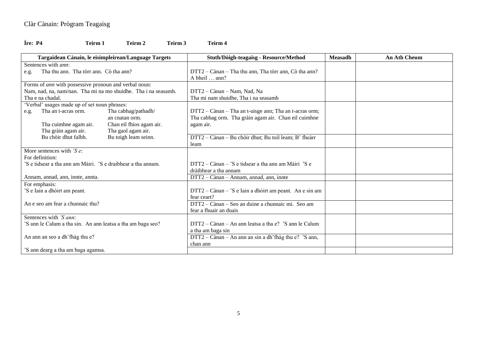#### **Ìre: P4 Teirm 1 Teirm 2 Teirm 3 Teirm 4**

**Targaidean Cànain, le eisimpleirean/Language Targets Stuth/Dòigh-teagaisg - Resource/Method Measadh An Ath Cheum** Sentences with *ann*:<br>e.g. Tha thu ann. Tha tòrr ann. Cò tha ann? e.g. Tha thu ann. Tha tòrr ann. Cò tha ann? DTT2 – Cànan – Tha thu ann, Tha tòrr ann, Cò tha ann? A bheil … ann? Forms of *ann* with possessive pronoun and verbal noun: Nam, nad, na, nam/nan. Tha mi na mo shuidhe. Tha i na seasamh. Tha e na chadal. DTT2 – Cànan – Nam, Nad, Na Tha mi nam shuidhe, Tha i na seasamh 'Verbal' usages made up of set noun phrases: e.g. Tha an t-acras orm. Tha cabhag/pathadh/ an cnatan orm. Tha cuimhne agam air. Chan eil fhios agam air. Tha gràin agam air. Tha gaol agam air. Bu chòir dhut falbh. Bu toigh leam seinn. DTT2 – Cànan – Tha an t-uisge ann; Tha an t-acras orm; Tha cabhag orm. Tha gràin agam air. Chan eil cuimhne agam air. DTT2 – Cànan – Bu chòir dhut; Bu toil leam; B' fheàrr leam More sentences with *'S e*: For definition: 'S e tidsear a tha ann am Màiri. 'S e draibhear a tha annam. Annam, annad, ann, innte, annta. DTT2 – Cànan – 'S e tidsear a tha ann am Màiri 'S e dràibhear a tha annam DTT2 – Cànan – Annam, annad, ann, innte For emphasis: 'S e Iain a dhòirt am peant. An e seo am fear a chunnaic thu? DTT2 – Cànan – 'S e Iain a dhòirt am peant. An e sin am fear ceart? DTT2 – Cànan – Seo an duine a chunnaic mi. Seo am fear a fhuair an duais Sentences with *'S ann*: 'S ann le Calum a tha sin. An ann leatsa a tha am baga seo? An ann an seo a dh'fhàg thu e? 'S ann dearg a tha am baga agamsa. DTT2 – Cànan – An ann leatsa a tha e? 'S ann le Calum a tha am baga sin DTT2 – Cànan – An ann an sin a dh'fhàg thu e? 'S ann, chan ann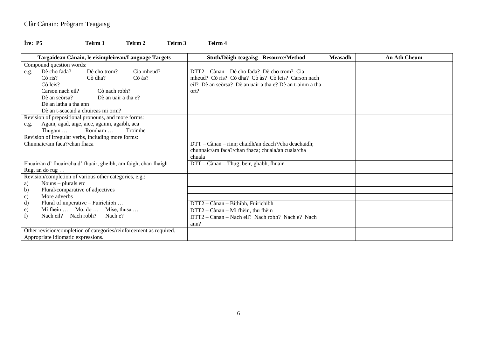## **Ìre: P5 Teirm 1 Teirm 2 Teirm 3 Teirm 4**

| Targaidean Cànain, le eisimpleirean/Language Targets             |                                                        |                         |                                                                    | Stuth/Dòigh-teagaisg - Resource/Method                                                             | <b>Measadh</b> | <b>An Ath Cheum</b> |
|------------------------------------------------------------------|--------------------------------------------------------|-------------------------|--------------------------------------------------------------------|----------------------------------------------------------------------------------------------------|----------------|---------------------|
| Compound question words:                                         |                                                        |                         |                                                                    |                                                                                                    |                |                     |
| e.g.                                                             | Dè cho fada?<br>$C\delta$ ris?                         | Dè cho trom?<br>Cò dha? | Cia mheud?<br>Cò às?                                               | DTT2 – Cànan – Dè cho fada? Dè cho trom? Cia<br>mheud? Cò ris? Cò dha? Cò às? Cò leis? Carson nach |                |                     |
|                                                                  | Cò leis?                                               |                         |                                                                    | eil? Dè an seòrsa? Dè an uair a tha e? Dè an t-ainm a tha                                          |                |                     |
|                                                                  | Carson nach eil?                                       | Cò nach robh?           |                                                                    | ort?                                                                                               |                |                     |
|                                                                  | Dè an seòrsa?                                          | Dè an uair a tha e?     |                                                                    |                                                                                                    |                |                     |
|                                                                  | Dè an latha a tha ann                                  |                         |                                                                    |                                                                                                    |                |                     |
|                                                                  | Dè an t-seacaid a chuireas mi orm?                     |                         |                                                                    |                                                                                                    |                |                     |
|                                                                  | Revision of prepositional pronouns, and more forms:    |                         |                                                                    |                                                                                                    |                |                     |
| e.g.                                                             | Agam, agad, aige, aice, againn, agaibh, aca            |                         |                                                                    |                                                                                                    |                |                     |
| Romham<br>Troimhe<br>Thugam $\dots$                              |                                                        |                         |                                                                    |                                                                                                    |                |                     |
| Revision of irregular verbs, including more forms:               |                                                        |                         |                                                                    |                                                                                                    |                |                     |
| Chunnaic/am faca?/chan fhaca                                     |                                                        |                         | DTT - Cànan - rinn; chaidh/an deach?/cha deachaidh;                |                                                                                                    |                |                     |
|                                                                  |                                                        |                         |                                                                    | chunnaic/am faca?/chan fhaca; chuala/an cuala/cha<br>chuala                                        |                |                     |
| Fhuair/an d' fhuair/cha d' fhuair, gheibh, am faigh, chan fhaigh |                                                        |                         |                                                                    | DTT - Cànan - Thug, beir, ghabh, fhuair                                                            |                |                     |
|                                                                  | Rug, an do rug                                         |                         |                                                                    |                                                                                                    |                |                     |
|                                                                  | Revision/completion of various other categories, e.g.: |                         |                                                                    |                                                                                                    |                |                     |
| a)                                                               | Nouns $-$ plurals etc                                  |                         |                                                                    |                                                                                                    |                |                     |
| b)                                                               | Plural/comparative of adjectives                       |                         |                                                                    |                                                                                                    |                |                     |
| $\mathbf{c})$                                                    | More adverbs                                           |                         |                                                                    |                                                                                                    |                |                     |
| d)                                                               | Plural of imperative – Fuirichibh                      |                         |                                                                    | Cànan - Bithibh, Fuirichibh<br>$DTT2-$                                                             |                |                     |
| e)                                                               | Mi fhein  Mo, do  Mise, thusa                          |                         |                                                                    | DTT2 - Cànan - Mi fhèin, thu fhèin                                                                 |                |                     |
| f)                                                               | Nach eil? Nach robh?                                   | Nach e?                 |                                                                    | DTT2 – Cànan – Nach eil? Nach robh? Nach e? Nach                                                   |                |                     |
|                                                                  |                                                        |                         |                                                                    | ann?                                                                                               |                |                     |
|                                                                  |                                                        |                         | Other revision/completion of categories/reinforcement as required. |                                                                                                    |                |                     |
|                                                                  | Appropriate idiomatic expressions.                     |                         |                                                                    |                                                                                                    |                |                     |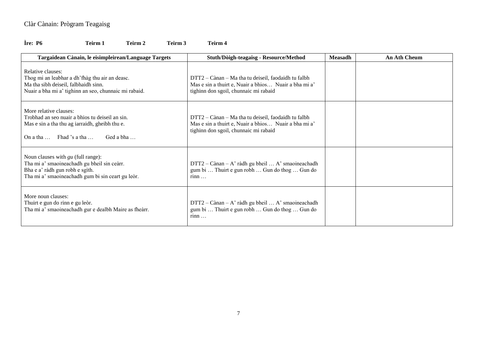### **Ìre: P6 Teirm 1 Teirm 2 Teirm 3 Teirm 4**

| Targaidean Cànain, le eisimpleirean/Language Targets                                                                                                                                 | Stuth/Dòigh-teagaisg - Resource/Method                                                                                                                | <b>Measadh</b> | <b>An Ath Cheum</b> |
|--------------------------------------------------------------------------------------------------------------------------------------------------------------------------------------|-------------------------------------------------------------------------------------------------------------------------------------------------------|----------------|---------------------|
| Relative clauses:<br>Thog mi an leabhar a dh'fhàg thu air an deasc.<br>Ma tha sibh deiseil, falbhaidh sinn.<br>Nuair a bha mi a' tighinn an seo, chunnaic mi rabaid.                 | DTT2 – Cànan – Ma tha tu deiseil, faodaidh tu falbh<br>Mas e sin a thuirt e, Nuair a bhios Nuair a bha mi a'<br>tighinn don sgoil, chunnaic mi rabaid |                |                     |
| More relative clauses:<br>Trobhad an seo nuair a bhios tu deiseil an sin.<br>Mas e sin a tha thu ag iarraidh, gheibh thu e.<br>On a tha $\ldots$ Fhad 's a tha $\ldots$<br>Ged a bha | DTT2 – Cànan – Ma tha tu deiseil, faodaidh tu falbh<br>Mas e sin a thuirt e, Nuair a bhios Nuair a bha mi a'<br>tighinn don sgoil, chunnaic mi rabaid |                |                     |
| Noun clauses with $gu$ (full range):<br>Tha mi a' smaoineachadh gu bheil sin ceàrr.<br>Bha e a' ràdh gun robh e sgìth.<br>Tha mi a' smaoineachadh gum bi sin ceart gu leòr.          | $DTT2 - Cànan - A' ràdh gu bheil  A' smaoineachadh$<br>gum bi  Thuirt e gun robh  Gun do thog  Gun do<br>rinn                                         |                |                     |
| More noun clauses:<br>Thuirt e gun do rinn e gu leòr.<br>Tha mi a' smaoineachadh gur e dealbh Maire as fheàrr.                                                                       | $DTT2 - Cànan - A' ràdh gu bheil  A' smaoineachadh$<br>gum bi  Thuirt e gun robh  Gun do thog  Gun do<br>$r$ inn $\ldots$                             |                |                     |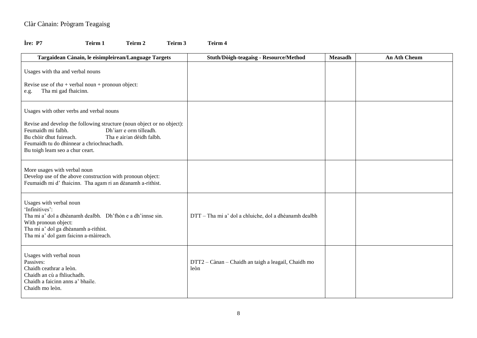## **Ìre: P7 Teirm 1 Teirm 2 Teirm 3 Teirm 4**

| Targaidean Cànain, le eisimpleirean/Language Targets                                                                                                                                                                                                                                                        | Stuth/Dòigh-teagaisg - Resource/Method                      | <b>Measadh</b> | <b>An Ath Cheum</b> |
|-------------------------------------------------------------------------------------------------------------------------------------------------------------------------------------------------------------------------------------------------------------------------------------------------------------|-------------------------------------------------------------|----------------|---------------------|
| Usages with tha and verbal nouns<br>Revise use of $tha$ + verbal noun + pronoun object:<br>Tha mi gad fhaicinn.<br>e.g.                                                                                                                                                                                     |                                                             |                |                     |
| Usages with other verbs and verbal nouns<br>Revise and develop the following structure (noun object or no object):<br>Dh'iarr e orm tilleadh.<br>Feumaidh mi falbh.<br>Tha e air/an dèidh falbh.<br>Bu chòir dhut fuireach.<br>Feumaidh tu do dhìnnear a chriochnachadh.<br>Bu toigh leam seo a chur ceart. |                                                             |                |                     |
| More usages with verbal noun<br>Develop use of the above construction with pronoun object:<br>Feumaidh mi d' fhaicinn. Tha agam ri an dèanamh a-rithist.                                                                                                                                                    |                                                             |                |                     |
| Usages with verbal noun<br>'Infinitives':<br>Tha mi a' dol a dhèanamh dealbh. Dh'fhòn e a dh'innse sin.<br>With pronoun object:<br>Tha mi a' dol ga dhèanamh a-rithist.<br>Tha mi a' dol gam faicinn a-màireach.                                                                                            | DTT - Tha mi a' dol a chluiche, dol a dhèanamh dealbh       |                |                     |
| Usages with verbal noun<br>Passives:<br>Chaidh ceathrar a leòn.<br>Chaidh an cù a fhliuchadh.<br>Chaidh a faicinn anns a' bhaile.<br>Chaidh mo leòn.                                                                                                                                                        | DTT2 - Cànan - Chaidh an taigh a leagail, Chaidh mo<br>leòn |                |                     |